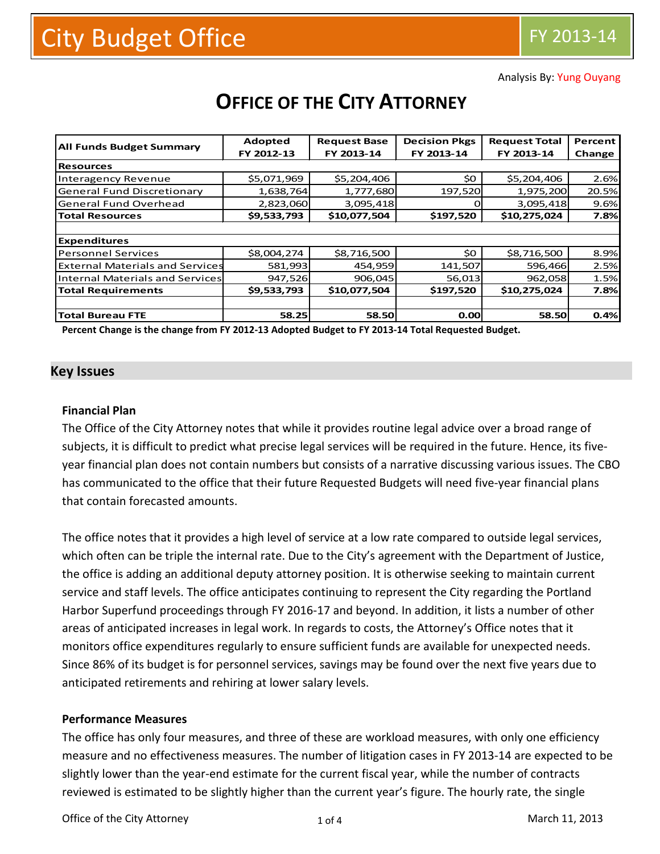Analysis By: Yung Ouyang

| <b>All Funds Budget Summary</b>        | Adopted     | <b>Request Base</b> | <b>Decision Pkgs</b> | <b>Request Total</b> | Percent<br>Change |  |  |
|----------------------------------------|-------------|---------------------|----------------------|----------------------|-------------------|--|--|
|                                        | FY 2012-13  | FY 2013-14          | FY 2013-14           | FY 2013-14           |                   |  |  |
| <b>Resources</b>                       |             |                     |                      |                      |                   |  |  |
| Interagency Revenue                    | \$5,071,969 | \$5,204,406         | \$0                  | \$5,204,406          | 2.6%              |  |  |
| <b>General Fund Discretionary</b>      | 1,638,764   | 1,777,680           | 197,520              | 1,975,200            | 20.5%             |  |  |
| <b>General Fund Overhead</b>           | 2,823,060   | 3,095,418           |                      | 3,095,418            | 9.6%              |  |  |
| <b>Total Resources</b>                 | \$9,533,793 | \$10,077,504        | \$197,520            | \$10,275,024         | 7.8%              |  |  |
|                                        |             |                     |                      |                      |                   |  |  |
| <b>Expenditures</b>                    |             |                     |                      |                      |                   |  |  |
| <b>Personnel Services</b>              | \$8,004,274 | \$8,716,500         | \$0                  | \$8,716,500          | 8.9%              |  |  |
| <b>External Materials and Services</b> | 581,993     | 454,959             | 141,507              | 596,466              | 2.5%              |  |  |
| Internal Materials and Services        | 947,526     | 906,045             | 56,013               | 962,058              | 1.5%              |  |  |
| <b>Total Requirements</b>              | \$9,533,793 | \$10,077,504        | \$197,520            | \$10,275,024         | 7.8%              |  |  |
|                                        |             |                     |                      |                      |                   |  |  |
| <b>Total Bureau FTE</b>                | 58.25       | 58.50               | 0.00                 | 58.50                | 0.4%              |  |  |

# **OFFICE OF THE CITY ATTORNEY**

**Percent Change is the change from FY 2012-13 Adopted Budget to FY 2013-14 Total Requested Budget.**

#### **Key Issues**

#### **Financial Plan**

The Office of the City Attorney notes that while it provides routine legal advice over a broad range of subjects, it is difficult to predict what precise legal services will be required in the future. Hence, its fiveyear financial plan does not contain numbers but consists of a narrative discussing various issues. The CBO has communicated to the office that their future Requested Budgets will need five-year financial plans that contain forecasted amounts.

The office notes that it provides a high level of service at a low rate compared to outside legal services, which often can be triple the internal rate. Due to the City's agreement with the Department of Justice, the office is adding an additional deputy attorney position. It is otherwise seeking to maintain current service and staff levels. The office anticipates continuing to represent the City regarding the Portland Harbor Superfund proceedings through FY 2016-17 and beyond. In addition, it lists a number of other areas of anticipated increases in legal work. In regards to costs, the Attorney's Office notes that it monitors office expenditures regularly to ensure sufficient funds are available for unexpected needs. Since 86% of its budget is for personnel services, savings may be found over the next five years due to anticipated retirements and rehiring at lower salary levels.

#### **Performance Measures**

The office has only four measures, and three of these are workload measures, with only one efficiency measure and no effectiveness measures. The number of litigation cases in FY 2013-14 are expected to be slightly lower than the year-end estimate for the current fiscal year, while the number of contracts reviewed is estimated to be slightly higher than the current year's figure. The hourly rate, the single

Office of the City Attorney 1 of 4 and 11, 2013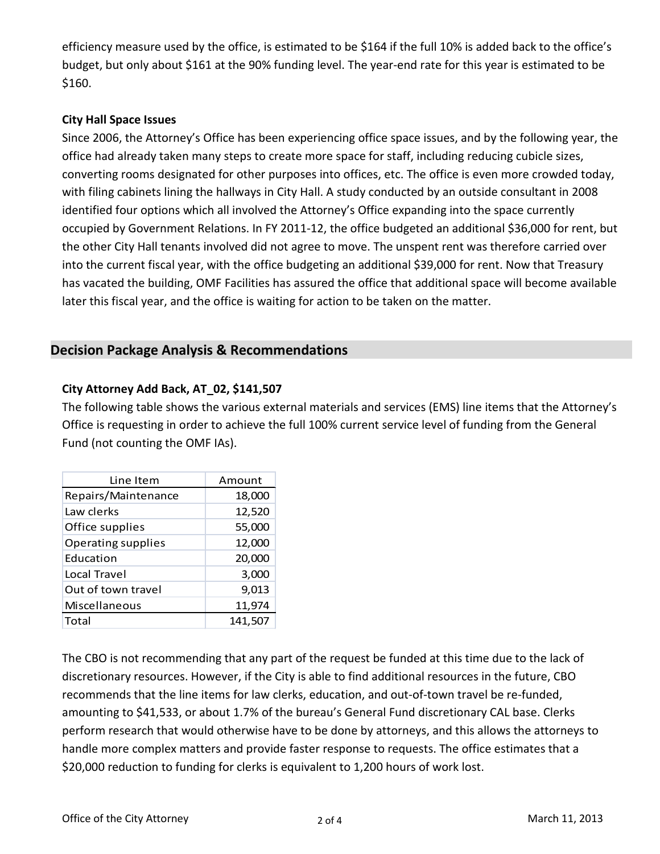efficiency measure used by the office, is estimated to be \$164 if the full 10% is added back to the office's budget, but only about \$161 at the 90% funding level. The year-end rate for this year is estimated to be \$160.

## **City Hall Space Issues**

Since 2006, the Attorney's Office has been experiencing office space issues, and by the following year, the office had already taken many steps to create more space for staff, including reducing cubicle sizes, converting rooms designated for other purposes into offices, etc. The office is even more crowded today, with filing cabinets lining the hallways in City Hall. A study conducted by an outside consultant in 2008 identified four options which all involved the Attorney's Office expanding into the space currently occupied by Government Relations. In FY 2011-12, the office budgeted an additional \$36,000 for rent, but the other City Hall tenants involved did not agree to move. The unspent rent was therefore carried over into the current fiscal year, with the office budgeting an additional \$39,000 for rent. Now that Treasury has vacated the building, OMF Facilities has assured the office that additional space will become available later this fiscal year, and the office is waiting for action to be taken on the matter.

## **Decision Package Analysis & Recommendations**

## **City Attorney Add Back, AT\_02, \$141,507**

The following table shows the various external materials and services (EMS) line items that the Attorney's Office is requesting in order to achieve the full 100% current service level of funding from the General Fund (not counting the OMF IAs).

| Line Item                 | Amount  |
|---------------------------|---------|
| Repairs/Maintenance       | 18,000  |
| Law clerks                | 12,520  |
| Office supplies           | 55,000  |
| <b>Operating supplies</b> | 12,000  |
| <b>Education</b>          | 20,000  |
| Local Travel              | 3,000   |
| Out of town travel        | 9,013   |
| Miscellaneous             | 11,974  |
| Total                     | 141,507 |

The CBO is not recommending that any part of the request be funded at this time due to the lack of discretionary resources. However, if the City is able to find additional resources in the future, CBO recommends that the line items for law clerks, education, and out-of-town travel be re-funded, amounting to \$41,533, or about 1.7% of the bureau's General Fund discretionary CAL base. Clerks perform research that would otherwise have to be done by attorneys, and this allows the attorneys to handle more complex matters and provide faster response to requests. The office estimates that a \$20,000 reduction to funding for clerks is equivalent to 1,200 hours of work lost.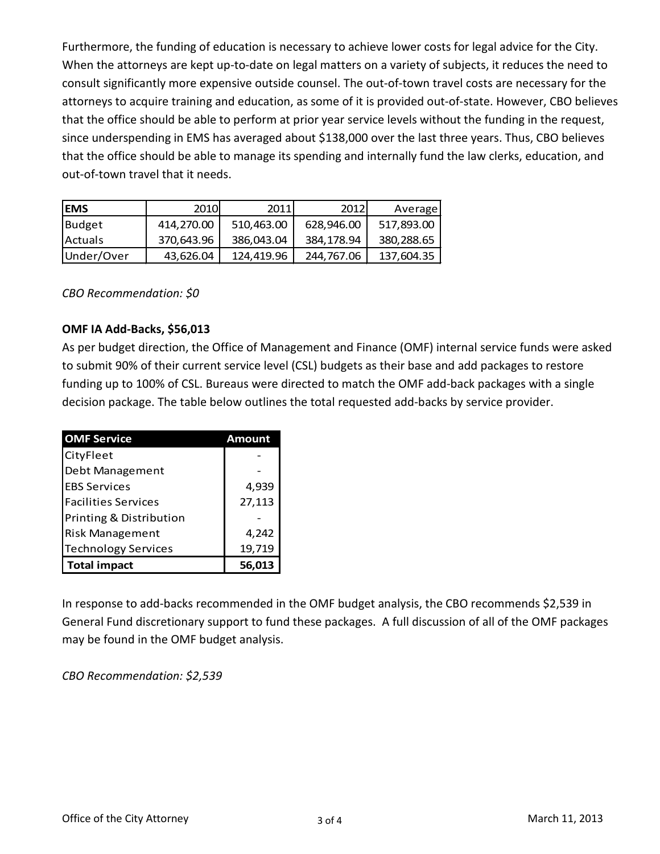Furthermore, the funding of education is necessary to achieve lower costs for legal advice for the City. When the attorneys are kept up-to-date on legal matters on a variety of subjects, it reduces the need to consult significantly more expensive outside counsel. The out-of-town travel costs are necessary for the attorneys to acquire training and education, as some of it is provided out-of-state. However, CBO believes that the office should be able to perform at prior year service levels without the funding in the request, since underspending in EMS has averaged about \$138,000 over the last three years. Thus, CBO believes that the office should be able to manage its spending and internally fund the law clerks, education, and out-of-town travel that it needs.

| <b>EMS</b>     | 2010       | 2011       | 2012       | Average    |
|----------------|------------|------------|------------|------------|
| Budget         | 414,270.00 | 510,463.00 | 628,946.00 | 517,893.00 |
| <b>Actuals</b> | 370,643.96 | 386,043.04 | 384.178.94 | 380,288.65 |
| Under/Over     | 43,626.04  | 124.419.96 | 244,767.06 | 137,604.35 |

*CBO Recommendation: \$0*

### **OMF IA Add-Backs, \$56,013**

As per budget direction, the Office of Management and Finance (OMF) internal service funds were asked to submit 90% of their current service level (CSL) budgets as their base and add packages to restore funding up to 100% of CSL. Bureaus were directed to match the OMF add-back packages with a single decision package. The table below outlines the total requested add-backs by service provider.

| <b>OMF Service</b>         | Amount |
|----------------------------|--------|
| CityFleet                  |        |
| Debt Management            |        |
| <b>EBS Services</b>        | 4,939  |
| <b>Facilities Services</b> | 27,113 |
| Printing & Distribution    |        |
| <b>Risk Management</b>     | 4,242  |
| <b>Technology Services</b> | 19,719 |
| <b>Total impact</b>        | 56,013 |

In response to add-backs recommended in the OMF budget analysis, the CBO recommends \$2,539 in General Fund discretionary support to fund these packages. A full discussion of all of the OMF packages may be found in the OMF budget analysis.

*CBO Recommendation: \$2,539*